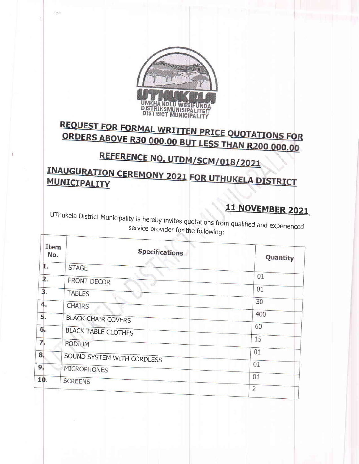

250

Ħ

# **REQUEST FOR FORMAL WRITTEN PRICE QUOTATIONS FOR ORDERS ABOVE R30 000.00 BUT LESS THAN R200 000.00**

# REFERENCE NO. UTDM/SCM/018/2021

**INAUGURATION CEREMONY 2021 FOR UTHUKELA DISTRICT** MUNICIPALITY

## 11 NOVEMBER 2021

UThukela District Municipality is hereby invites quotations from qualified and experienced service provider for the following:

| Item<br>No. | <b>Specifications</b>      | Quantity       |
|-------------|----------------------------|----------------|
| 1.          | <b>STAGE</b>               |                |
| 2.          | FRONT DECOR                | 01             |
| 3.          | <b>TABLES</b>              | 01             |
| 4.          | <b>CHAIRS</b>              | 30             |
| 5.          | <b>BLACK CHAIR COVERS</b>  | 400            |
| 6.          | <b>BLACK TABLE CLOTHES</b> | 60             |
| 7.          | PODIUM                     | 15             |
| 8.          | SOUND SYSTEM WITH CORDLESS | 01             |
| 9.          | <b>MICROPHONES</b>         | 01             |
| 10.         | <b>SCREENS</b>             | 01             |
|             |                            | $\overline{2}$ |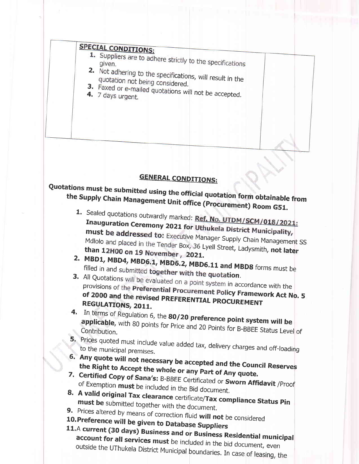### **SPECIAL CONDITIONS:**

- 1. Suppliers are to adhere strictly to the specifications
- 2. Not adhering to the specifications, will result in the quotation not being considered.
- 3. Faxed or e-mailed quotations will not be accepted. 4. 7 days urgent.

#### **GENERAL CONDITIONS:**

# Quotations must be submitted using the official quotation form obtainable from the Supply Chain Management Unit office (Procurement) Room G51.

- 1. Sealed quotations outwardly marked: Ref. No. UTDM/SCM/018/2021: Inauguration Ceremony 2021 for Uthukela District Municipality, must be addressed to: Executive Manager Supply Chain Management SS Mdlolo and placed in the Tender Box, 36 Lyell Street, Ladysmith, not later than 12H00 on 19 November, 2021.
- 2. MBD1, MBD4, MBD6.1, MBD6.2, MBD6.11 and MBD8 forms must be filled in and submitted together with the quotation.
- 3. All Quotations will be evaluated on a point system in accordance with the provisions of the Preferential Procurement Policy Framework Act No. 5 of 2000 and the revised PREFERENTIAL PROCUREMENT **REGULATIONS, 2011.**
- 4. In terms of Regulation 6, the 80/20 preference point system will be applicable, with 80 points for Price and 20 Points for B-BBEE Status Level of
- 5. Prices quoted must include value added tax, delivery charges and off-loading to the municipal premises.
- 6. Any quote will not necessary be accepted and the Council Reserves the Right to Accept the whole or any Part of Any quote.
- 7. Certified Copy of Sana's: B-BBEE Certificated or Sworn Affidavit /Proof of Exemption must be included in the Bid document.
- 8. A valid original Tax clearance certificate/Tax compliance Status Pin must be submitted together with the document.
- 
- 9. Prices altered by means of correction fluid will not be considered

10. Preference will be given to Database Suppliers

11.A current (30 days) Business and or Business Residential municipal account for all services must be included in the bid document, even outside the UThukela District Municipal boundaries. In case of leasing, the